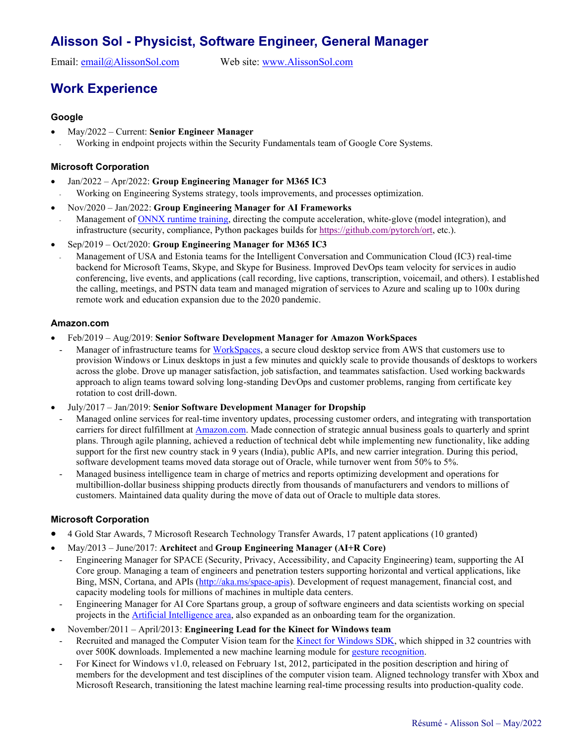# **Alisson Sol - Physicist, Software Engineer, General Manager**

Email: [email@AlissonSol.com](mailto:email@AlissonSol.com) Web site: [www.AlissonSol.com](http://www.alissonsol.com/)

## **Work Experience**

#### **Google**

- May/2022 Current: **Senior Engineer Manager**
	- Working in endpoint projects within the Security Fundamentals team of Google Core Systems.

#### **Microsoft Corporation**

- Jan/2022 Apr/2022: **Group Engineering Manager for M365 IC3**
- Working on Engineering Systems strategy, tools improvements, and processes optimization.
- Nov/2020 Jan/2022: **Group Engineering Manager for AI Frameworks**
- Management of ONNX [runtime training,](https://www.onnxruntime.ai/) directing the compute acceleration, white-glove (model integration), and infrastructure (security, compliance, Python packages builds fo[r https://github.com/pytorch/ort,](https://github.com/pytorch/ort) etc.).
- Sep/2019 Oct/2020: **Group Engineering Manager for M365 IC3**
- Management of USA and Estonia teams for the Intelligent Conversation and Communication Cloud (IC3) real-time backend for Microsoft Teams, Skype, and Skype for Business. Improved DevOps team velocity for services in audio conferencing, live events, and applications (call recording, live captions, transcription, voicemail, and others). I established the calling, meetings, and PSTN data team and managed migration of services to Azure and scaling up to 100x during remote work and education expansion due to the 2020 pandemic.

#### **Amazon.com**

- Feb/2019 Aug/2019: **Senior Software Development Manager for Amazon WorkSpaces**
- Manager of infrastructure teams for [WorkSpaces,](https://aws.amazon.com/workspaces/) a secure cloud desktop service from AWS that customers use to provision Windows or Linux desktops in just a few minutes and quickly scale to provide thousands of desktops to workers across the globe. Drove up manager satisfaction, job satisfaction, and teammates satisfaction. Used working backwards approach to align teams toward solving long-standing DevOps and customer problems, ranging from certificate key rotation to cost drill-down.
- July/2017 Jan/2019: **Senior Software Development Manager for Dropship**
	- Managed online services for real-time inventory updates, processing customer orders, and integrating with transportation carriers for direct fulfillment at [Amazon.com.](https://sell.amazon.com/) Made connection of strategic annual business goals to quarterly and sprint plans. Through agile planning, achieved a reduction of technical debt while implementing new functionality, like adding support for the first new country stack in 9 years (India), public APIs, and new carrier integration. During this period, software development teams moved data storage out of Oracle, while turnover went from 50% to 5%.
	- Managed business intelligence team in charge of metrics and reports optimizing development and operations for multibillion-dollar business shipping products directly from thousands of manufacturers and vendors to millions of customers. Maintained data quality during the move of data out of Oracle to multiple data stores.

#### **Microsoft Corporation**

- 4 Gold Star Awards, 7 Microsoft Research Technology Transfer Awards, 17 patent applications (10 granted)
- May/2013 June/2017: **Architect** and **Group Engineering Manager (AI+R Core)**
- Engineering Manager for SPACE (Security, Privacy, Accessibility, and Capacity Engineering) team, supporting the AI Core group. Managing a team of engineers and penetration testers supporting horizontal and vertical applications, like Bing, MSN, Cortana, and APIs [\(http://aka.ms/space-apis\)](http://aka.ms/space-apis). Development of request management, financial cost, and capacity modeling tools for millions of machines in multiple data centers.
- Engineering Manager for AI Core Spartans group, a group of software engineers and data scientists working on special projects in the [Artificial Intelligence](https://news.microsoft.com/ai/) area, also expanded as an onboarding team for the organization.
- November/2011 April/2013: **Engineering Lead for the Kinect for Windows team**
- Recruited and managed the Computer Vision team for the [Kinect for Windows SDK,](https://www.microsoft.com/en-us/download/details.aspx?id=40278) which shipped in 32 countries with over 500K downloads. Implemented a new machine learning module for [gesture recognition.](https://www.youtube.com/watch?v=yTwFtlHGBQw)
- For Kinect for Windows v1.0, released on February 1st, 2012, participated in the position description and hiring of members for the development and test disciplines of the computer vision team. Aligned technology transfer with Xbox and Microsoft Research, transitioning the latest machine learning real-time processing results into production-quality code.